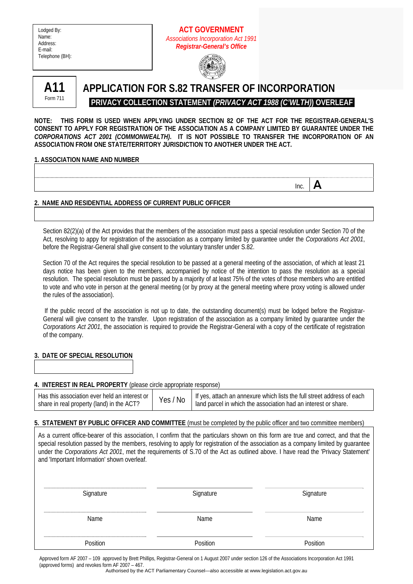| Lodged By:      |
|-----------------|
| Name:           |
| Address:        |
| E-mail:         |
| Telephone (BH): |
|                 |

# **ACT GOVERNMENT**  *Associations Incorporation Act 1991 Registrar-General's Office*





# **APPLICATION FOR S.82 TRANSFER OF INCORPORATION PRIVACY COLLECTION STATEMENT** *(PRIVACY ACT 1988 (C'WLTH)***) OVERLEAF**

**NOTE: THIS FORM IS USED WHEN APPLYING UNDER SECTION 82 OF THE ACT FOR THE REGISTRAR-GENERAL'S CONSENT TO APPLY FOR REGISTRATION OF THE ASSOCIATION AS A COMPANY LIMITED BY GUARANTEE UNDER THE**  *CORPORATIONS ACT 2001 (COMMONWEALTH)***. IT IS NOT POSSIBLE TO TRANSFER THE INCORPORATION OF AN ASSOCIATION FROM ONE STATE/TERRITORY JURISDICTION TO ANOTHER UNDER THE ACT.** 

## **1. ASSOCIATION NAME AND NUMBER**

**Inc.**  $\mathbf{A}$ 

# **2. NAME AND RESIDENTIAL ADDRESS OF CURRENT PUBLIC OFFICER**

Section 82(2)(a) of the Act provides that the members of the association must pass a special resolution under Section 70 of the Act, resolving to appy for registration of the association as a company limited by guarantee under the *Corporations Act 2001*, before the Registrar-General shall give consent to the voluntary transfer under S.82.

Section 70 of the Act requires the special resolution to be passed at a general meeting of the association, of which at least 21 days notice has been given to the members, accompanied by notice of the intention to pass the resolution as a special resolution. The special resolution must be passed by a majority of at least 75% of the votes of those members who are entitled to vote and who vote in person at the general meeting (or by proxy at the general meeting where proxy voting is allowed under the rules of the association).

 If the public record of the association is not up to date, the outstanding document(s) must be lodged before the Registrar-General will give consent to the transfer. Upon registration of the association as a company limited by guarantee under the *Corporations Act 2001*, the association is required to provide the Registrar-General with a copy of the certificate of registration of the company.

## **3. DATE OF SPECIAL RESOLUTION**

## **4. INTEREST IN REAL PROPERTY** (please circle appropriate response)

| Has this association ever held an interest or | Yes/ | <sup>1</sup> If yes, attach an annexure which lists the full street address of each |
|-----------------------------------------------|------|-------------------------------------------------------------------------------------|
| share in real property (land) in the ACT?     | ' No | land parcel in which the association had an interest or share.                      |

## **5. STATEMENT BY PUBLIC OFFICER AND COMMITTEE** (must be completed by the public officer and two committee members)

As a current office-bearer of this association, I confirm that the particulars shown on this form are true and correct, and that the special resolution passed by the members, resolving to apply for registration of the association as a company limited by guarantee under the *Corporations Act 2001*, met the requirements of S.70 of the Act as outlined above. I have read the 'Privacy Statement' and 'Important Information' shown overleaf.

| Signature | Signature | Signature |
|-----------|-----------|-----------|
| Name      | Name      | Name      |
| Position  | Position  | Position  |

Approved form AF 2007 – 109 approved by Brett Phillips, Registrar-General on 1 August 2007 under section 126 of the Associations Incorporation Act 1991 (approved forms) and revokes form AF 2007 – 467.

Authorised by the ACT Parliamentary Counsel—also accessible at www.legislation.act.gov.au